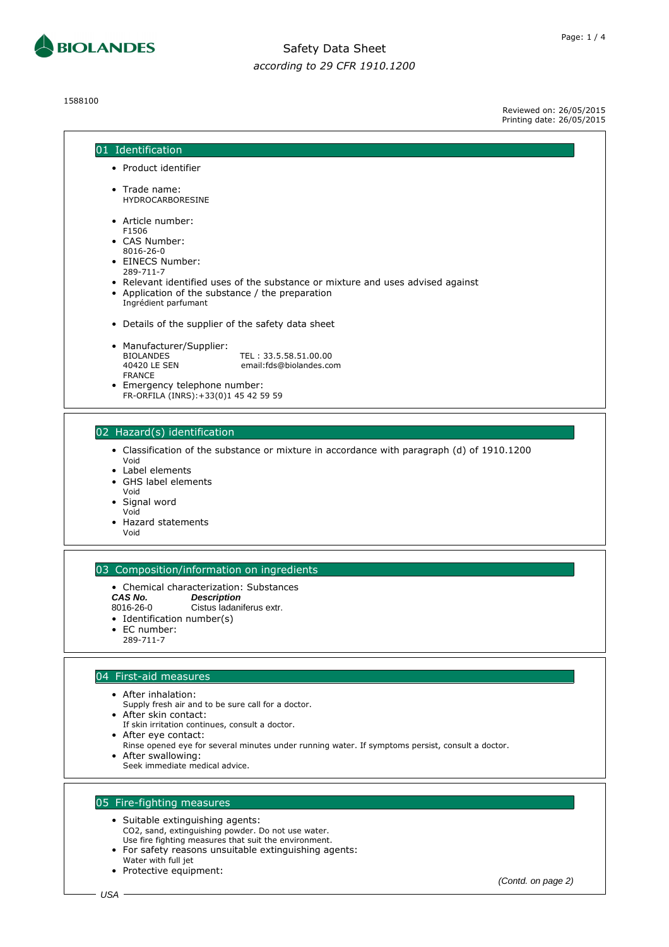

1588100

Page: 1 / 4

Reviewed on: 26/05/2015 Printing date: 26/05/2015

| 01 Identification                                                                                                                                           |
|-------------------------------------------------------------------------------------------------------------------------------------------------------------|
| • Product identifier                                                                                                                                        |
|                                                                                                                                                             |
| • Trade name:<br><b>HYDROCARBORESINE</b>                                                                                                                    |
| • Article number:<br>F1506<br>• CAS Number:                                                                                                                 |
| 8016-26-0<br>• EINECS Number:<br>289-711-7                                                                                                                  |
| • Relevant identified uses of the substance or mixture and uses advised against<br>• Application of the substance / the preparation<br>Ingrédient parfumant |
| • Details of the supplier of the safety data sheet                                                                                                          |
| • Manufacturer/Supplier:<br><b>BIOLANDES</b><br>TEL: 33.5.58.51.00.00<br>40420 LE SEN<br>email:fds@biolandes.com                                            |
| <b>FRANCE</b><br>• Emergency telephone number:<br>FR-ORFILA (INRS): +33(0)1 45 42 59 59                                                                     |
|                                                                                                                                                             |
| 02 Hazard(s) identification                                                                                                                                 |
| • Classification of the substance or mixture in accordance with paragraph (d) of 1910.1200<br>Void                                                          |
| • Label elements<br>• GHS label elements                                                                                                                    |
| Void                                                                                                                                                        |
| • Signal word<br>Void                                                                                                                                       |
| • Hazard statements<br>Void                                                                                                                                 |
|                                                                                                                                                             |
| 03 Composition/information on ingredients                                                                                                                   |
| • Chemical characterization: Substances<br>CAS No.<br><b>Description</b>                                                                                    |
| Cistus ladaniferus extr.<br>8016-26-0                                                                                                                       |
| • Identification number(s)<br>EC number:<br>٠                                                                                                               |
| 289-711-7                                                                                                                                                   |
| 04 First-aid measures                                                                                                                                       |
| • After inhalation:                                                                                                                                         |
| Supply fresh air and to be sure call for a doctor.                                                                                                          |
| • After skin contact:<br>If skin irritation continues, consult a doctor.                                                                                    |
| • After eye contact:                                                                                                                                        |
| Rinse opened eye for several minutes under running water. If symptoms persist, consult a doctor.<br>• After swallowing:                                     |
| Seek immediate medical advice.                                                                                                                              |
| 05 Fire-fighting measures                                                                                                                                   |
| • Suitable extinguishing agents:                                                                                                                            |
| CO2, sand, extinguishing powder. Do not use water.                                                                                                          |
| Use fire fighting measures that suit the environment.<br>• For safety reasons unsuitable extinguishing agents:                                              |
| Water with full jet                                                                                                                                         |

(Contd. on page 2)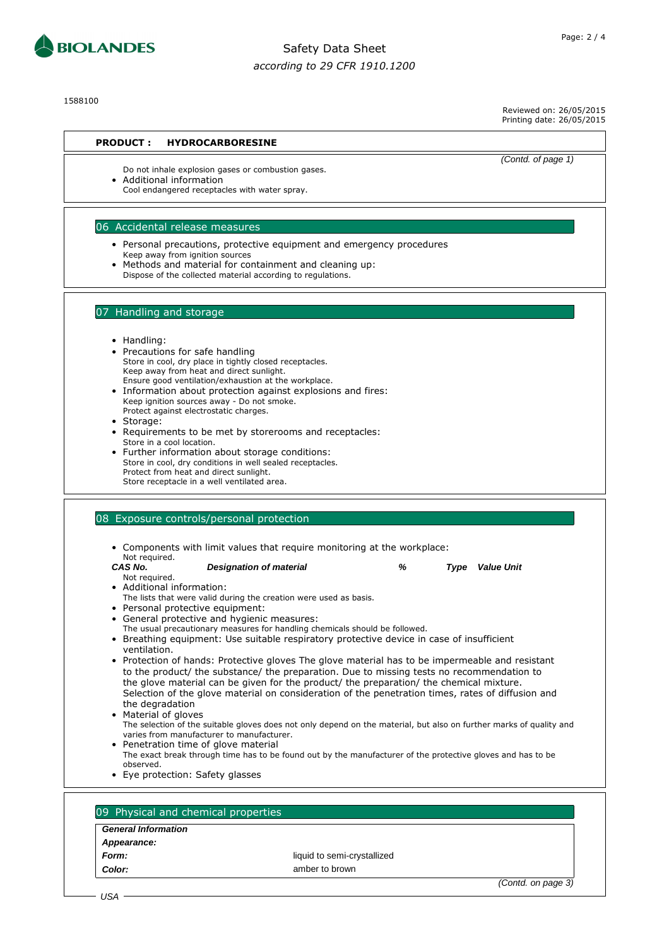

1588100

Reviewed on: 26/05/2015 Printing date: 26/05/2015

#### **PRODUCT : HYDROCARBORESINE**

Do not inhale explosion gases or combustion gases. • Additional information

Cool endangered receptacles with water spray.

### 06 Accidental release measures

- Personal precautions, protective equipment and emergency procedures Keep away from ignition sources
- Methods and material for containment and cleaning up: Dispose of the collected material according to regulations.

#### 09 Physical and chemical properties

#### **General Information**

- **Appearance:**
- 

**Form:** liquid to semi-crystallized **Color:** amber to brown

(Contd. on page 3)





(Contd. of page 1)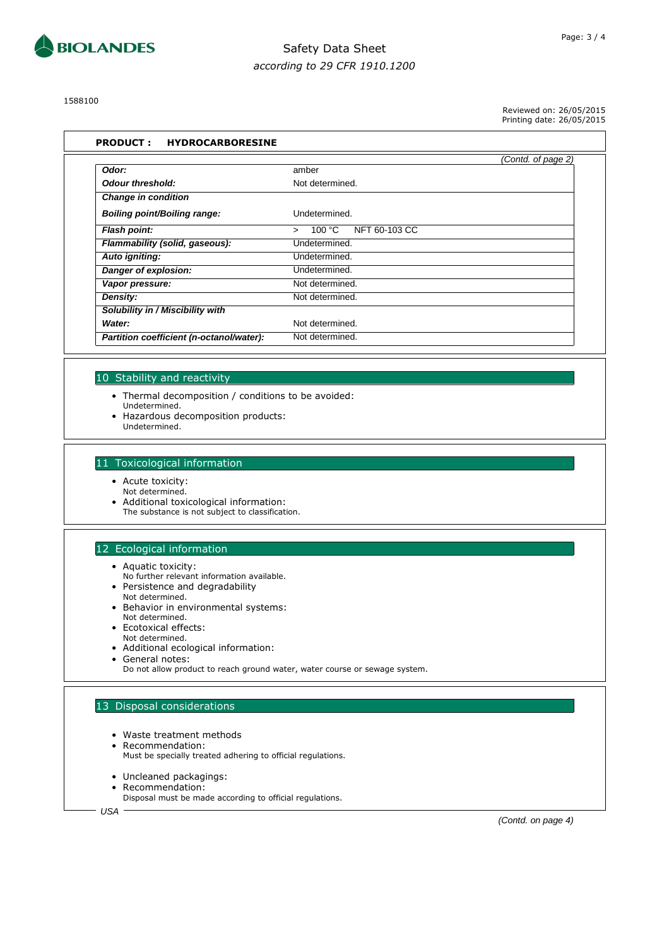

1588100

Reviewed on: 26/05/2015 Printing date: 26/05/2015

|                                          |                                             | (Contd. of page 2) |
|------------------------------------------|---------------------------------------------|--------------------|
| Odor:                                    | amber                                       |                    |
| <b>Odour threshold:</b>                  | Not determined.                             |                    |
| <b>Change in condition</b>               |                                             |                    |
| <b>Boiling point/Boiling range:</b>      | Undetermined.                               |                    |
| <b>Flash point:</b>                      | NFT 60-103 CC<br>100 $^{\circ}$ C<br>$\geq$ |                    |
| Flammability (solid, gaseous):           | Undetermined.                               |                    |
| Auto igniting:                           | Undetermined.                               |                    |
| Danger of explosion:                     | Undetermined.                               |                    |
| Vapor pressure:                          | Not determined.                             |                    |
| Density:                                 | Not determined.                             |                    |
| Solubility in / Miscibility with         |                                             |                    |
| Water:                                   | Not determined.                             |                    |
| Partition coefficient (n-octanol/water): | Not determined.                             |                    |

#### 10 Stability and reactivity

- Thermal decomposition / conditions to be avoided:
- Undetermined.
- Hazardous decomposition products: Undetermined.

#### 11 Toxicological information

- Acute toxicity:
- Not determined.
- Additional toxicological information:
	- The substance is not subject to classification.

### 12 Ecological information

- Aquatic toxicity:
- No further relevant information available. • Persistence and degradability
- Not determined.
- Behavior in environmental systems: Not determined.
- Ecotoxical effects:
- Not determined.
- Additional ecological information:
- General notes:
	- Do not allow product to reach ground water, water course or sewage system.

### 13 Disposal considerations

- Waste treatment methods
- Recommendation:
	- Must be specially treated adhering to official regulations.
- Uncleaned packagings:
- Recommendation: Disposal must be made according to official regulations.

USA

(Contd. on page 4)